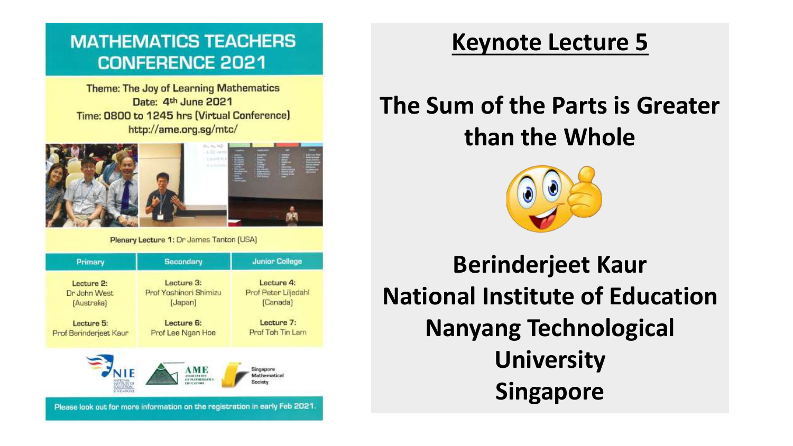### **MATHEMATICS TEACHERS CONFERENCE 2021**

**Theme: The Joy of Learning Mathematics** Date: 4th June 2021 Time: 0800 to 1245 hrs (Virtual Conference) http://ame.org.sg/mtc/



Plenary Lecture 1: Dr James Tanton (USA)

| Primary                    | <b>Secondary</b>       | <b>Junior College</b><br>Lecture 4: |  |
|----------------------------|------------------------|-------------------------------------|--|
| Lecture 2:                 | Lecture 3:             |                                     |  |
| Dr John West               | Prof Yoshinori Shimizu | Prof Peter Liljedahl                |  |
| [Australia]                | [Japan]                | (Canada)                            |  |
| Lecture 5:                 | Lecture 6:             | Lecture 7:                          |  |
| Prof Berinderjeet Kaur     | Prof Lee Ngan Hoe      | Prof Toh Tin Lam                    |  |
|                            |                        |                                     |  |
|                            |                        | Singapore<br>Mathematical           |  |
| DUCATION<br><b>UNGAPOR</b> | <b>FREE'STORE</b>      | <b>Society</b>                      |  |

## **Keynote Lecture 5**

## **The Sum of the Parts is Greater than the Whole**



**Berinderjeet Kaur National Institute of Education Nanyang Technological University Singapore**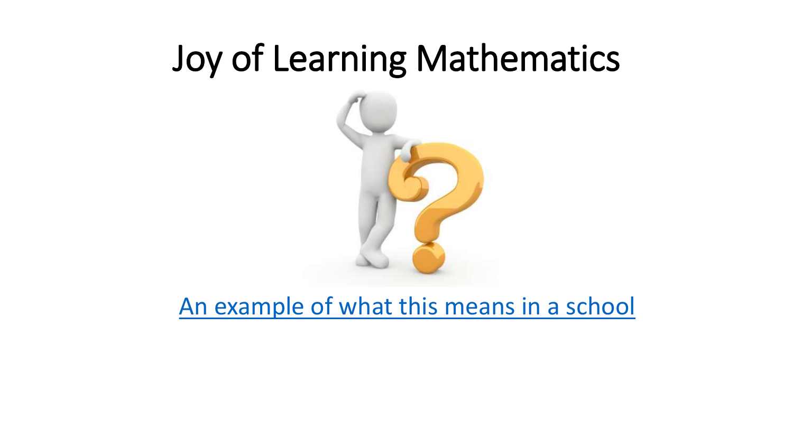## Joy of Learning Mathematics



[An example of what this means in a school](https://queenstownpri.moe.edu.sg/departments/mathematics)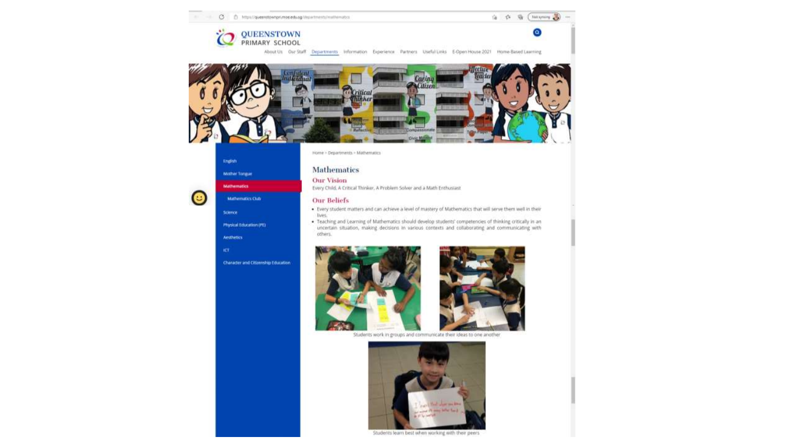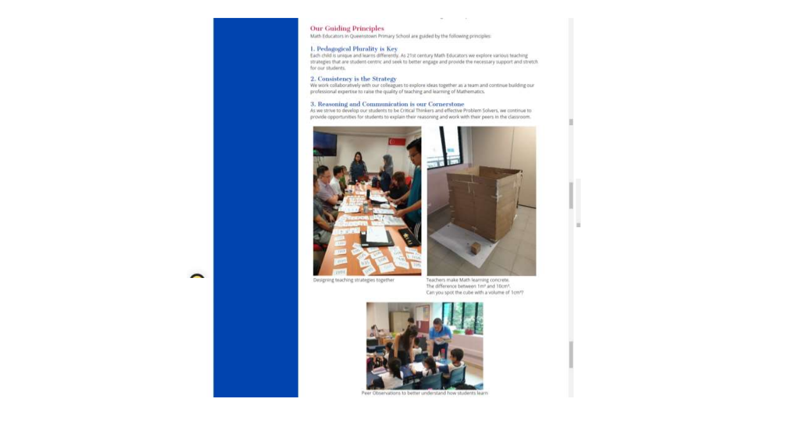### **Our Guiding Principles**

Math Educators in Queenstown Primary School are guided by the following principles:

1. Pedagogical Plurality is Key<br>Each child is unique and learns differently. As 21st century Math Educators we explore various teaching<br>strategies that are student-centric and seek to better engage and provide the necessar for our students.

 $\sim$ 

 $\sim$ 

### 2. Consistency is the Strategy

We work collaboratively with our colleagues to explore ideas together as a team and continue building our<br>professional expertise to raise the quality of teaching and learning of Mathematics.

3. Reasoning and Communication is our Cornerstone<br>As we strive to develop our students to be Critical Thinkers and effective Problem Solvers, we continue to provide opportunities for students to explain their reasoning and work with their peers in the classroom.



Designing teaching strategies together

Teachers make Math learning concrete. The difference between 1m<sup>+</sup> and 10cm<sup>+</sup>. Can you spot the cube with a volume of 1cm?



Peer Observations to better understand how students learn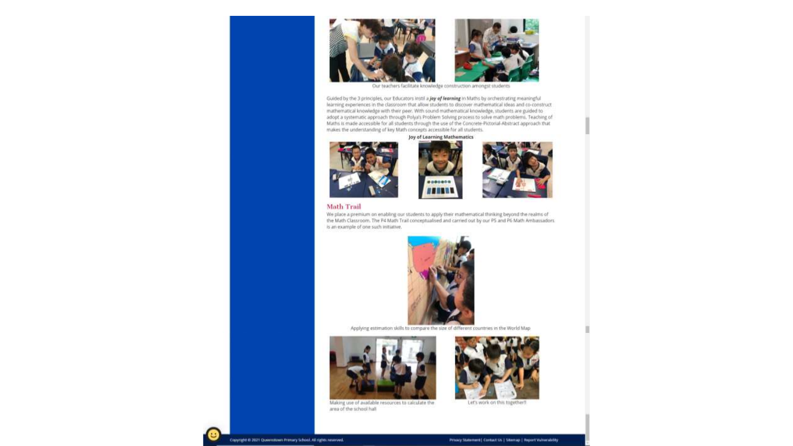

Our teachers facilitate knowledge construction amongst students

Guided by the 3 principles, our Educators instil a joy of learning in Maths by orchestrating meaningful learning experiences in the classroom that allow students to discover mathematical ideas and co-construct mathematical knowledge with their peer. With sound mathematical knowledge, students are guided to adopt a systematic approach through Polya's Problem Solving process to solve math problems. Teaching of Maths is made accessible for all students through the use of the Concrete-Pictorial-Abstract approach that makes the understanding of key Math concepts accessible for all students.

Joy of Learning Mathematics









We place a premium on enabling our students to apply their mathematical thinking beyond the realms of the Math Classroom. The P4 Math Trail conceptualised and carried out by our P5 and P6 Math Ambassadors. is an example of one such initiative.



Applying estimation skills to compare the size of different countries in the World Map





Making use of available resources to calculate the area of the school hall

Copyright @ 2021 Queenstown Primary School, All rights reserved.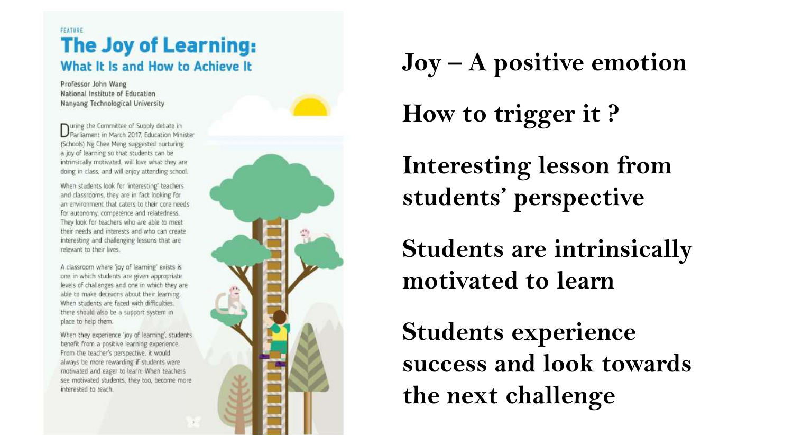### FEATURE **The Joy of Learning:** What It Is and How to Achieve It

Professor John Wang National Institute of Education Nanyang Technological University

wring the Committee of Supply debate in Parliament in March 2017, Education Minister (Schools) Ng Chee Meng suggested nurturing a joy of learning so that students can be intrinsically motivated, will love what they are doing in class, and will enjoy attending school.

When students look for 'interesting' teachers and classrooms, they are in fact looking for an environment that caters to their core needs for autonomy, competence and relatedness. They look for teachers who are able to meet their needs and interests and who can create interesting and challenging lessons that are relevant to their lives.

A classroom where 'joy of learning' exists is one in which students are given appropriate levels of challenges and one in which they are able to make decisions about their learning. When students are faced with difficulties. there should also be a support system in place to help them.

When they experience 'joy of learning', students benefit from a positive learning experience. From the teacher's perspective, it would always be more rewarding if students were motivated and eager to learn. When teachers see motivated students, they too, become more interested to teach.





**Joy – A positive emotion** 

**How to trigger it ?**

**Interesting lesson from students' perspective**

**Students are intrinsically motivated to learn**

**Students experience success and look towards the next challenge**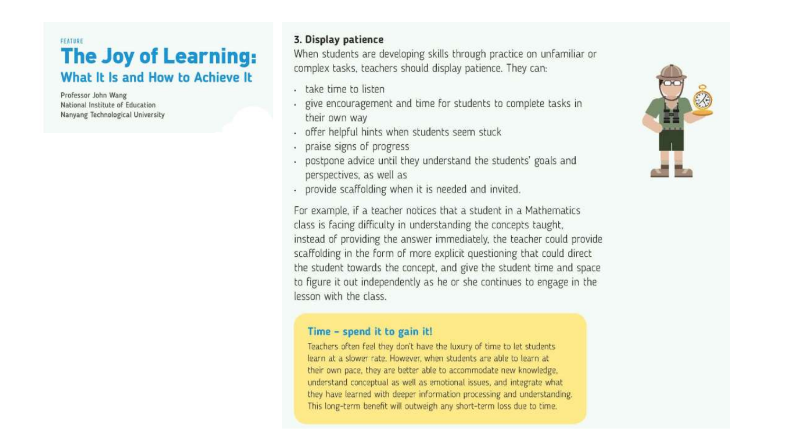### FEATURE **The Joy of Learning:** What It Is and How to Achieve It

Professor John Wang National Institute of Education Nanyang Technological University

### 3. Display patience

When students are developing skills through practice on unfamiliar or complex tasks, teachers should display patience. They can:

- take time to listen
- give encouragement and time for students to complete tasks in their own way
- offer helpful hints when students seem stuck
- praise signs of progress
- postpone advice until they understand the students' goals and perspectives, as well as
- provide scaffolding when it is needed and invited.

For example, if a teacher notices that a student in a Mathematics class is facing difficulty in understanding the concepts taught, instead of providing the answer immediately, the teacher could provide scaffolding in the form of more explicit questioning that could direct the student towards the concept, and give the student time and space to figure it out independently as he or she continues to engage in the lesson with the class.

### Time - spend it to gain it!

Teachers often feel they don't have the luxury of time to let students learn at a slower rate. However, when students are able to learn at their own pace, they are better able to accommodate new knowledge, understand conceptual as well as emotional issues, and integrate what they have learned with deeper information processing and understanding. This long-term benefit will outweigh any short-term loss due to time.

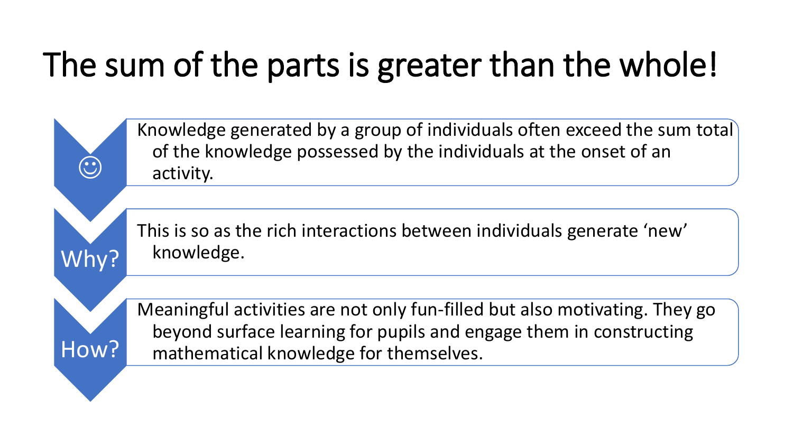# The sum of the parts is greater than the whole!



This is so as the rich interactions between individuals generate 'new' knowledge.

How?

Why?

 $\odot$ 

Meaningful activities are not only fun-filled but also motivating. They go beyond surface learning for pupils and engage them in constructing mathematical knowledge for themselves.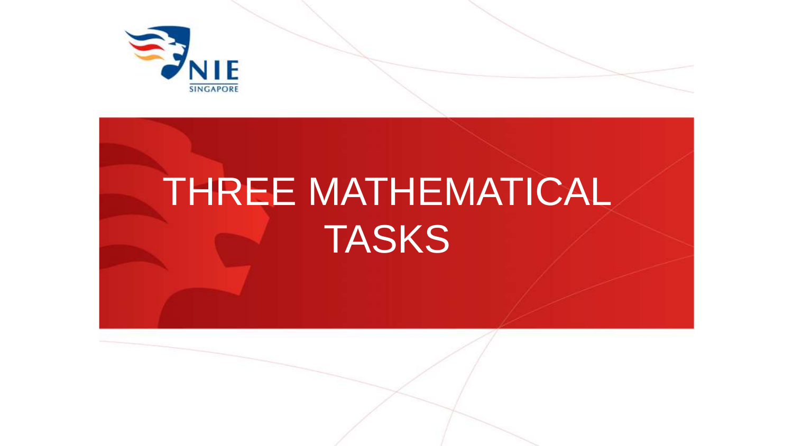

# THREE MATHEMATICAL TASKS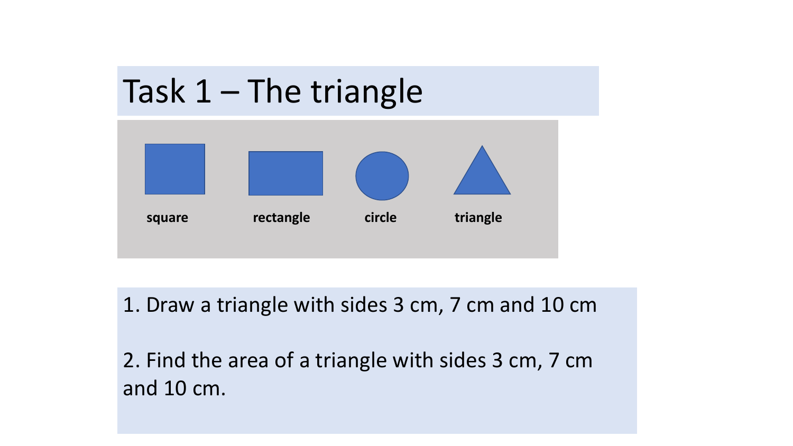



1. Draw a triangle with sides 3 cm, 7 cm and 10 cm

2. Find the area of a triangle with sides 3 cm, 7 cm and 10 cm.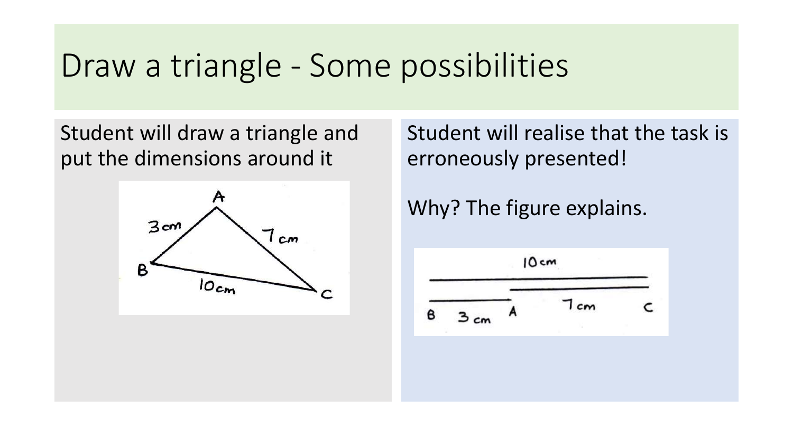## Draw a triangle - Some possibilities

Student will draw a triangle and put the dimensions around it



Student will realise that the task is erroneously presented!

Why? The figure explains.

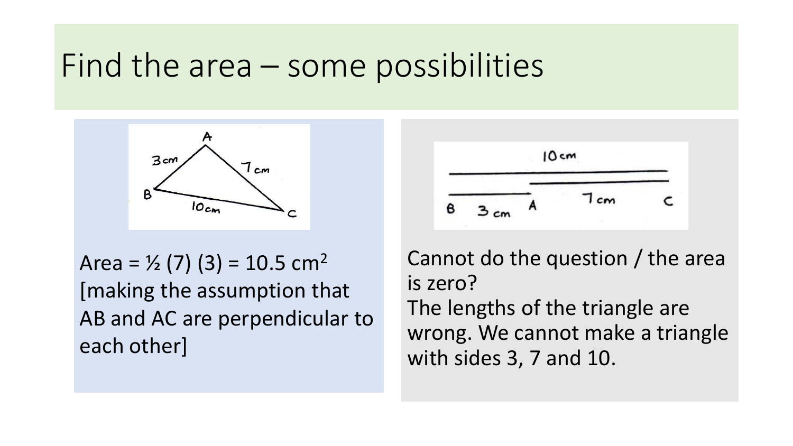## Find the area – some possibilities



Area =  $\frac{1}{2}$  (7) (3) = 10.5 cm<sup>2</sup> [making the assumption that AB and AC are perpendicular to each other]



Cannot do the question / the area is zero? The lengths of the triangle are wrong. We cannot make a triangle with sides 3, 7 and 10.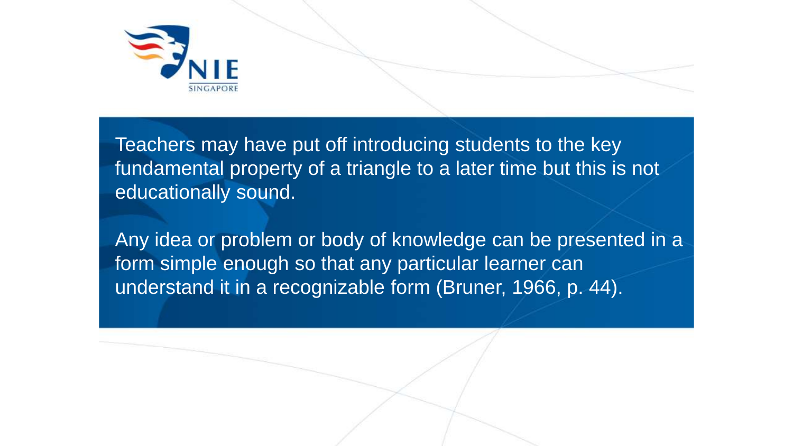

Teachers may have put off introducing students to the key fundamental property of a triangle to a later time but this is not educationally sound.

Any idea or problem or body of knowledge can be presented in a form simple enough so that any particular learner can understand it in a recognizable form (Bruner, 1966, p. 44).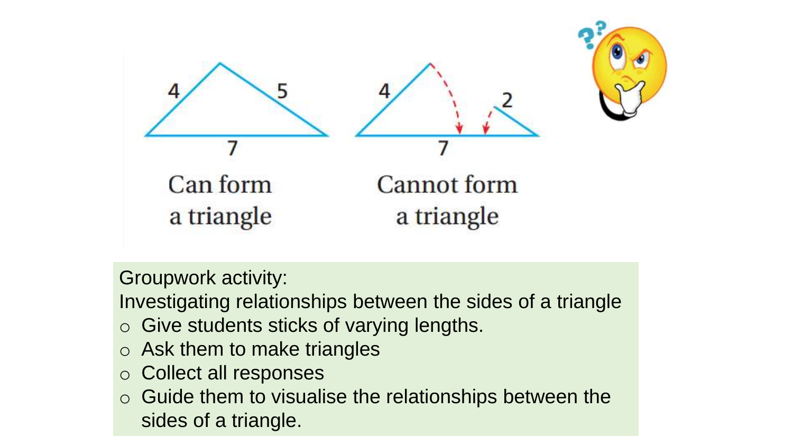

Groupwork activity:

Investigating relationships between the sides of a triangle

- o Give students sticks of varying lengths.
- o Ask them to make triangles
- o Collect all responses
- o Guide them to visualise the relationships between the sides of a triangle.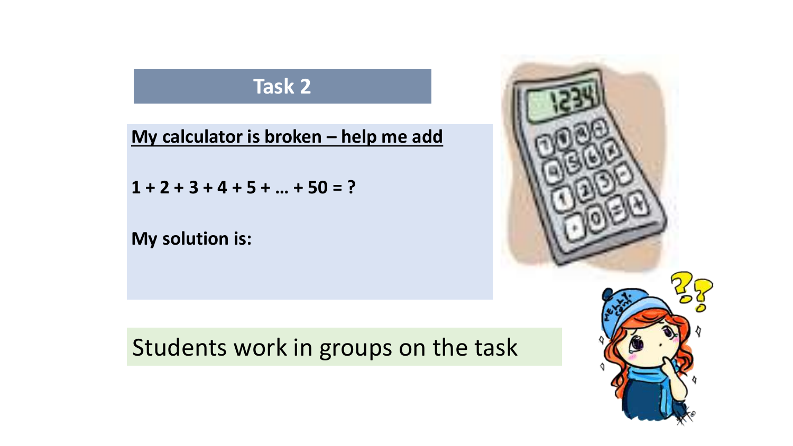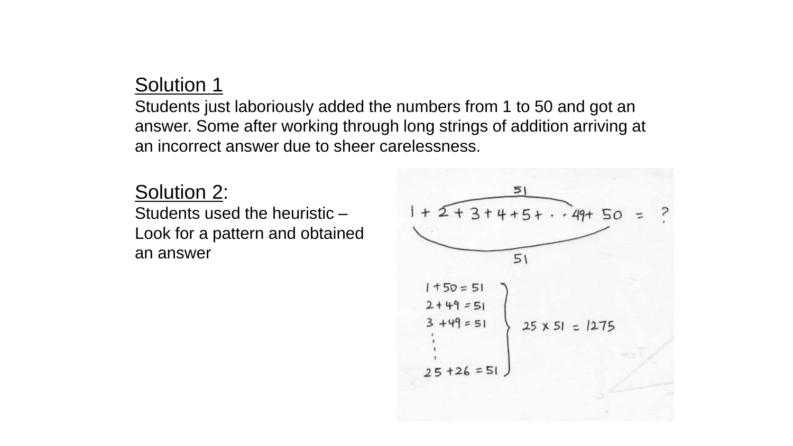### Solution 1

Students just laboriously added the numbers from 1 to 50 and got an answer. Some after working through long strings of addition arriving at an incorrect answer due to sheer carelessness.

### Solution 2:

Students used the heuristic – Look for a pattern and obtained an answer

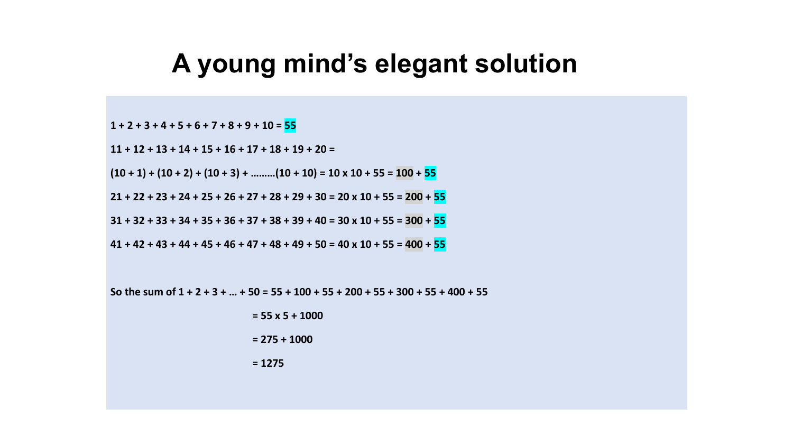## **A young mind's elegant solution**

**1 + 2 + 3 + 4 + 5 + 6 + 7 + 8 + 9 + 10 = 55**

**11 + 12 + 13 + 14 + 15 + 16 + 17 + 18 + 19 + 20 =**

 $(10 + 1) + (10 + 2) + (10 + 3) + \dots (10 + 10) = 10 \times 10 + 55 = 100 + 55$ 

 $21 + 22 + 23 + 24 + 25 + 26 + 27 + 28 + 29 + 30 = 20 \times 10 + 55 = 200 + 55$ 

 $31 + 32 + 33 + 34 + 35 + 36 + 37 + 38 + 39 + 40 = 30 \times 10 + 55 = 300 + 55$ 

 $41 + 42 + 43 + 44 + 45 + 46 + 47 + 48 + 49 + 50 = 40 \times 10 + 55 = 400 + 55$ 

So the sum of  $1 + 2 + 3 + ... + 50 = 55 + 100 + 55 + 200 + 55 + 300 + 55 + 400 + 55$ 

**= 55 x 5 + 1000**

**= 275 + 1000**

**= 1275**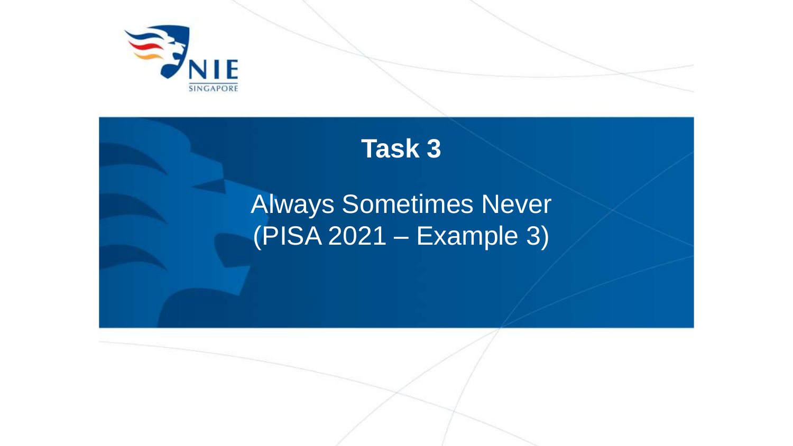

## **Task 3**

## Always Sometimes Never (PISA 2021 – Example 3)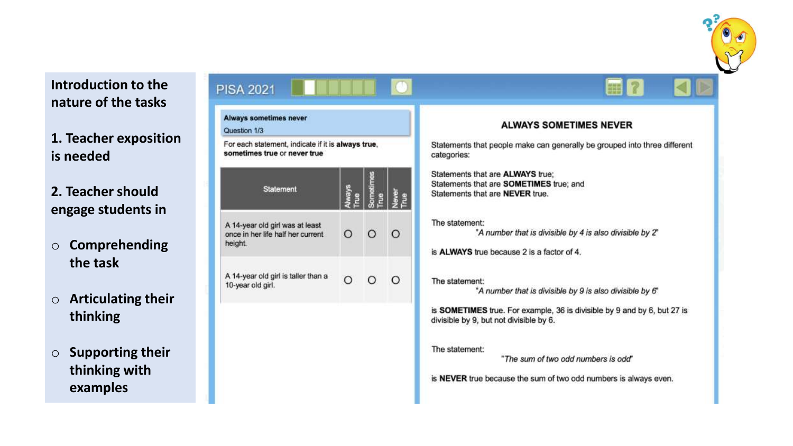

### **Introduction to the nature of the tasks**

PISA<sub>2</sub>

**1. Teacher exposition is needed**

**2. Teacher should engage students in** 

- o **Comprehending the task**
- o **Articulating their thinking**
- o **Supporting their thinking with examples**

| <b>PISA 2021</b><br><b>Always sometimes never</b>                                                  |               |         |         | 蟲                                                                                                                         |  |  |
|----------------------------------------------------------------------------------------------------|---------------|---------|---------|---------------------------------------------------------------------------------------------------------------------------|--|--|
| Question 1/3<br>For each statement, indicate if it is always true,<br>sometimes true or never true |               |         |         | <b>ALWAYS SOMETIMES NEVER</b><br>Statements that people make can generally be grouped into three different<br>categories: |  |  |
|                                                                                                    |               |         |         |                                                                                                                           |  |  |
| <b>Statement</b>                                                                                   | <b>Always</b> | ometime | ₹       | Statements that are ALWAYS true;<br>Statements that are SOMETIMES true; and<br>Statements that are NEVER true.            |  |  |
| A 14-year old girl was at least<br>once in her life half her current<br>height.                    | O             |         | $\circ$ | The statement:<br>"A number that is divisible by 4 is also divisible by 2"<br>is ALWAYS true because 2 is a factor of 4.  |  |  |
| A 14-year old girl is taller than a<br>10-year old girl.                                           | $\Omega$      |         | O       | The statement:<br>"A number that is divisible by 9 is also divisible by 6"                                                |  |  |
|                                                                                                    |               |         |         | is SOMETIMES true. For example, 36 is divisible by 9 and by 6, but 27 is<br>divisible by 9, but not divisible by 6.       |  |  |
|                                                                                                    |               |         |         | The statement:<br>"The sum of two odd numbers is odd"                                                                     |  |  |
|                                                                                                    |               |         |         | is NEVER true because the sum of two odd numbers is always even.                                                          |  |  |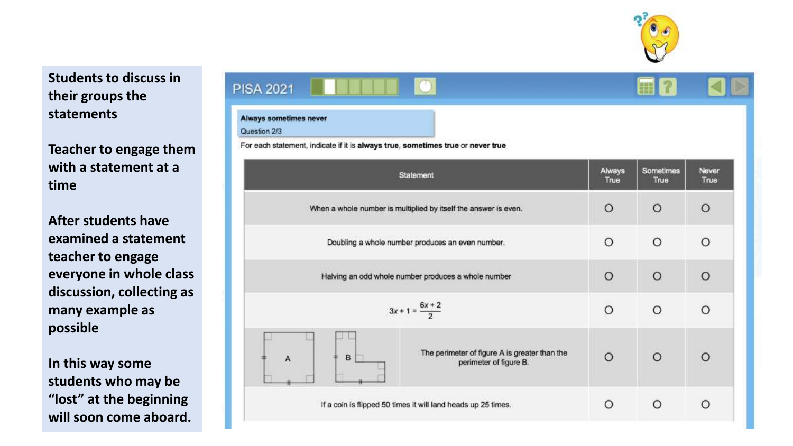

### **Students to discuss in their groups the statements**

**Teacher to engage them with a statement at a time**

**After students have examined a statement teacher to engage everyone in whole class discussion, collecting as many example as possible**

**In this way some students who may be "lost" at the beginning will soon come aboard.**

| <b>PISA 2021</b>                                                                |          | <b>HE</b> |          |
|---------------------------------------------------------------------------------|----------|-----------|----------|
| <b>Always sometimes never</b><br>Question 2/3                                   |          |           |          |
| For each statement, indicate if it is always true, sometimes true or never true | Always   | Sometimes | Never    |
| Statement                                                                       | True     | True      | True     |
| When a whole number is multiplied by itself the answer is even.                 | $\circ$  | O         | $\circ$  |
| Doubling a whole number produces an even number.                                | $\circ$  | $\circ$   | $\Omega$ |
| Halving an odd whole number produces a whole number                             | $\circ$  | $\circ$   | $\circ$  |
| $3x + 1 = \frac{6x + 2}{2}$                                                     | $\circ$  | $\circ$   | $\Omega$ |
| The perimeter of figure A is greater than the<br>B<br>perimeter of figure B.    | $\Omega$ | $\circ$   | $\Omega$ |
| If a coin is flipped 50 times it will land heads up 25 times.                   | Ο        | O         | O        |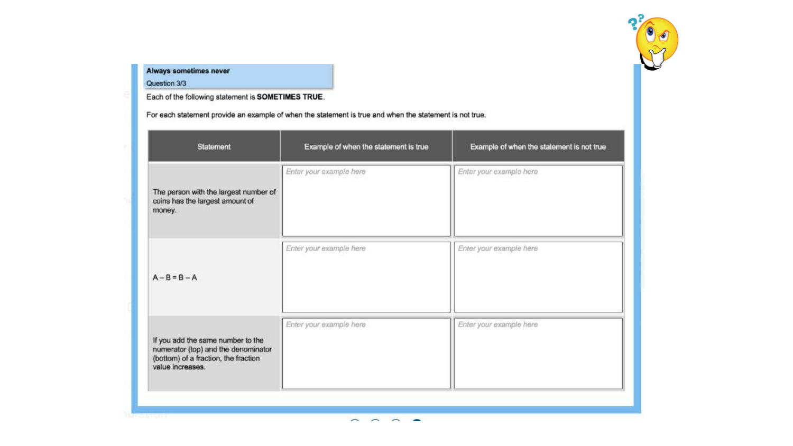

### Always sometimes never

Question 3/3

Each of the following statement is SOMETIMES TRUE.

For each statement provide an example of when the statement is true and when the statement is not true.

| <b>Statement</b>                                                                                                                     | Example of when the statement is true | Example of when the statement is not true |  |  |
|--------------------------------------------------------------------------------------------------------------------------------------|---------------------------------------|-------------------------------------------|--|--|
| The person with the largest number of<br>coins has the largest amount of<br>money.                                                   | Enter your example here               | Enter your example here                   |  |  |
| $A - B = B - A$                                                                                                                      | Enter your example here               | Enter your example here                   |  |  |
| If you add the same number to the<br>numerator (top) and the denominator<br>(bottom) of a fraction, the fraction<br>value increases. | Enter your example here               | Enter your example here                   |  |  |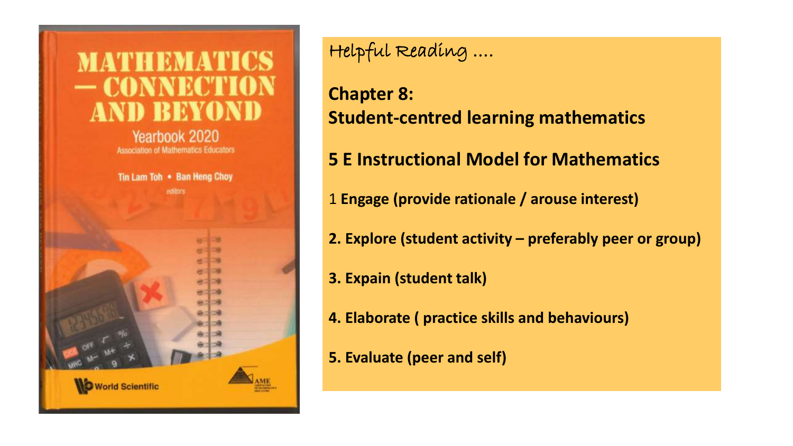

Helpful Reading ….

**Chapter 8: Student-centred learning mathematics**

**5 E Instructional Model for Mathematics**

- 1 **Engage (provide rationale / arouse interest)**
- **2. Explore (student activity – preferably peer or group)**
- **3. Expain (student talk)**
- **4. Elaborate ( practice skills and behaviours)**
- **5. Evaluate (peer and self)**